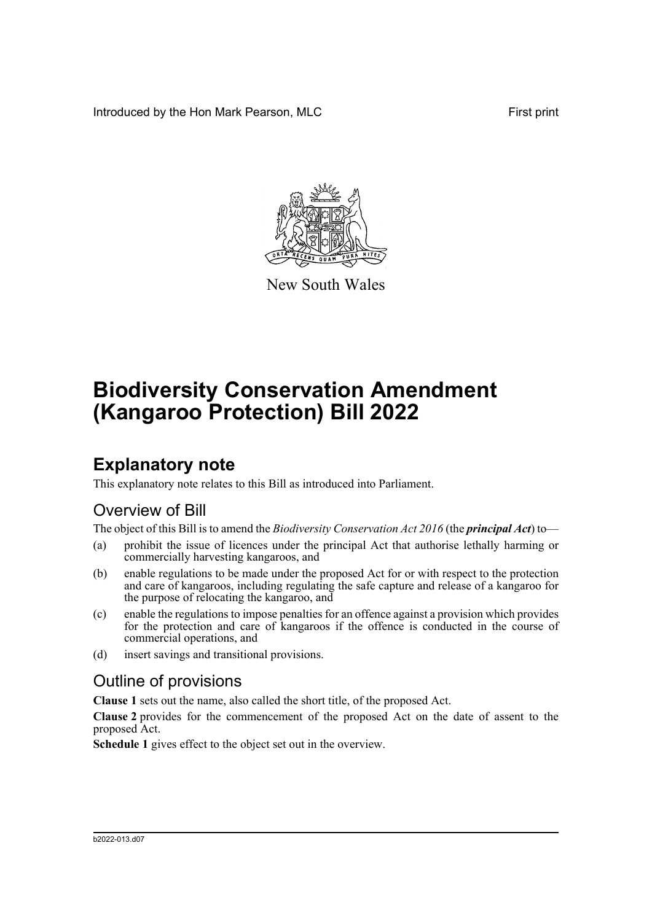Introduced by the Hon Mark Pearson, MLC **First print** First print



New South Wales

# **Biodiversity Conservation Amendment (Kangaroo Protection) Bill 2022**

## **Explanatory note**

This explanatory note relates to this Bill as introduced into Parliament.

#### Overview of Bill

The object of this Bill is to amend the *Biodiversity Conservation Act 2016* (the *principal Act*) to—

- (a) prohibit the issue of licences under the principal Act that authorise lethally harming or commercially harvesting kangaroos, and
- (b) enable regulations to be made under the proposed Act for or with respect to the protection and care of kangaroos, including regulating the safe capture and release of a kangaroo for the purpose of relocating the kangaroo, and
- (c) enable the regulations to impose penalties for an offence against a provision which provides for the protection and care of kangaroos if the offence is conducted in the course of commercial operations, and
- (d) insert savings and transitional provisions.

#### Outline of provisions

**Clause 1** sets out the name, also called the short title, of the proposed Act.

**Clause 2** provides for the commencement of the proposed Act on the date of assent to the proposed Act.

**Schedule 1** gives effect to the object set out in the overview.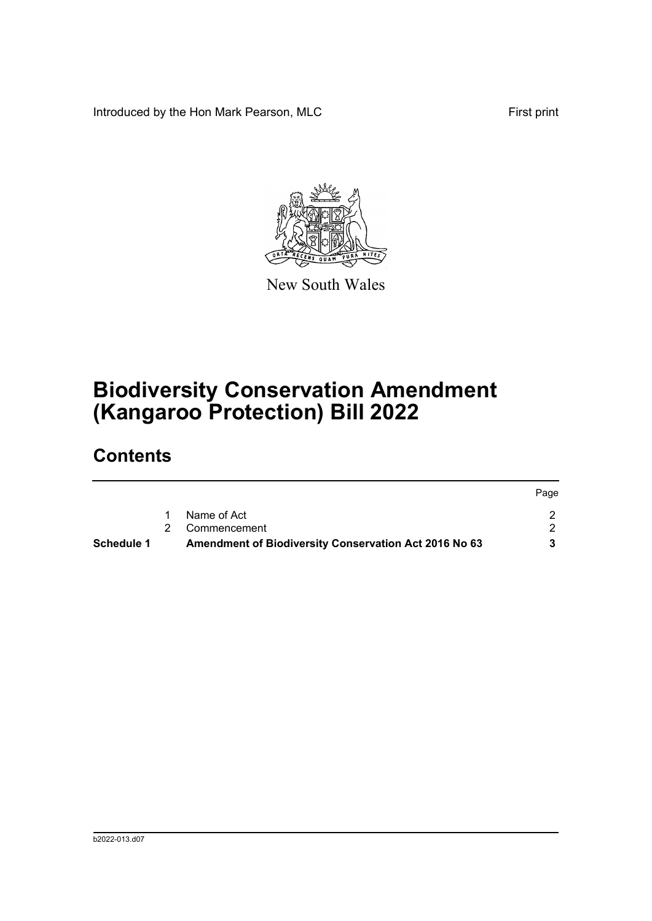Introduced by the Hon Mark Pearson, MLC **First print** First print



New South Wales

## **Biodiversity Conservation Amendment (Kangaroo Protection) Bill 2022**

### **Contents**

| <b>Schedule 1</b> | Amendment of Biodiversity Conservation Act 2016 No 63 |      |
|-------------------|-------------------------------------------------------|------|
|                   | 2 Commencement                                        |      |
|                   | Name of Act                                           |      |
|                   |                                                       | Page |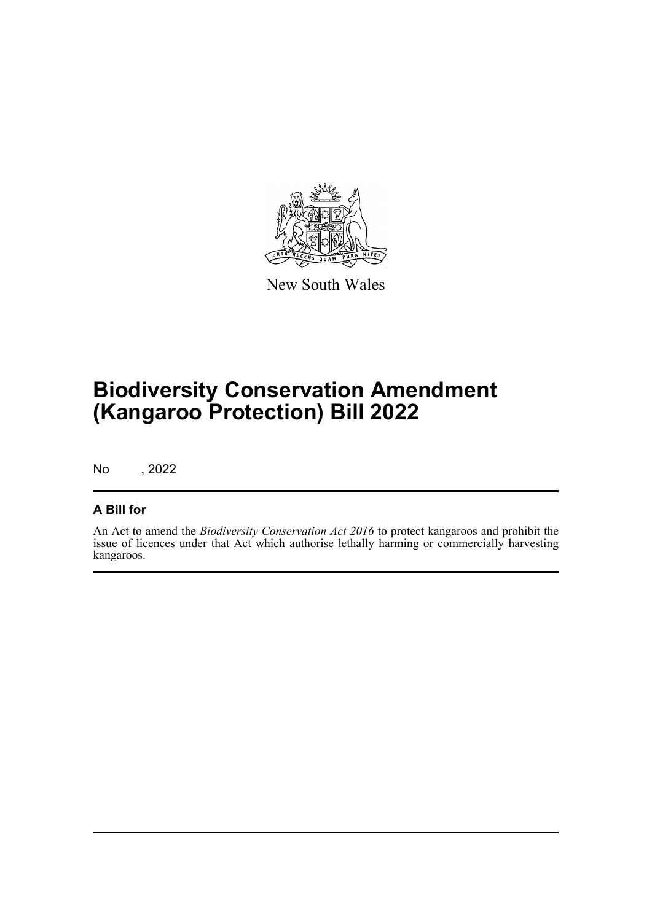

New South Wales

## **Biodiversity Conservation Amendment (Kangaroo Protection) Bill 2022**

No , 2022

#### **A Bill for**

An Act to amend the *Biodiversity Conservation Act 2016* to protect kangaroos and prohibit the issue of licences under that Act which authorise lethally harming or commercially harvesting kangaroos.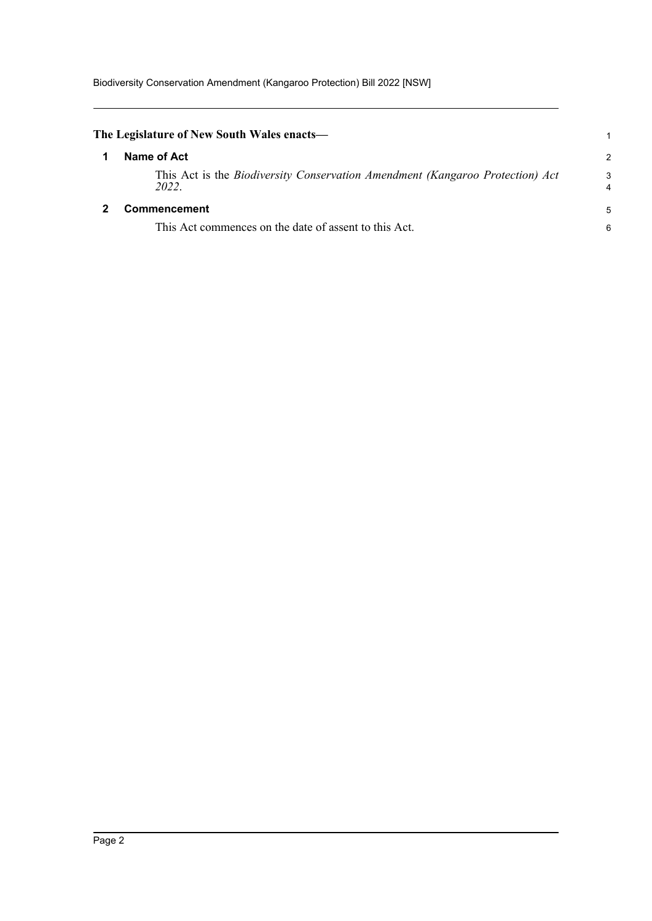<span id="page-3-1"></span><span id="page-3-0"></span>

| The Legislature of New South Wales enacts—                                             |        |
|----------------------------------------------------------------------------------------|--------|
| Name of Act                                                                            | 2      |
| This Act is the Biodiversity Conservation Amendment (Kangaroo Protection) Act<br>2022. | 3<br>4 |
| <b>Commencement</b>                                                                    | 5      |
| This Act commences on the date of assent to this Act.                                  | 6      |
|                                                                                        |        |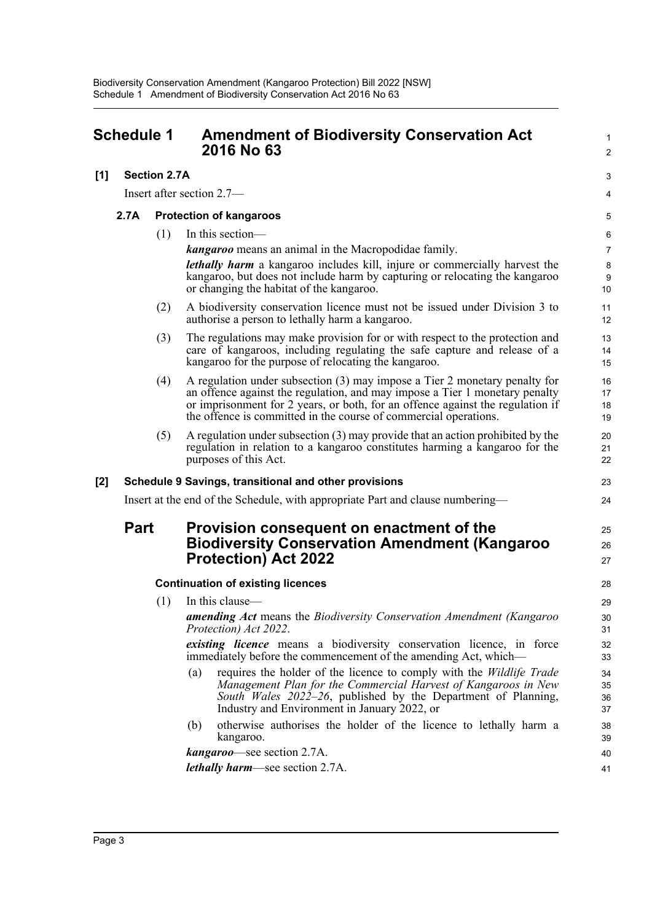<span id="page-4-0"></span>

| Schedule 1 |                                                       |                     | <b>Amendment of Biodiversity Conservation Act</b><br>2016 No 63                                                                                                                                                                                                                                                   | 1<br>2               |
|------------|-------------------------------------------------------|---------------------|-------------------------------------------------------------------------------------------------------------------------------------------------------------------------------------------------------------------------------------------------------------------------------------------------------------------|----------------------|
| [1]        |                                                       | <b>Section 2.7A</b> |                                                                                                                                                                                                                                                                                                                   | 3                    |
|            | Insert after section 2.7—                             |                     | 4                                                                                                                                                                                                                                                                                                                 |                      |
|            | 2.7A                                                  |                     | <b>Protection of kangaroos</b>                                                                                                                                                                                                                                                                                    |                      |
|            |                                                       | (1)                 | In this section-                                                                                                                                                                                                                                                                                                  | 6                    |
|            |                                                       |                     | <b>kangaroo</b> means an animal in the Macropodidae family.                                                                                                                                                                                                                                                       | $\overline{7}$       |
|            |                                                       |                     | <i>lethally harm</i> a kangaroo includes kill, injure or commercially harvest the<br>kangaroo, but does not include harm by capturing or relocating the kangaroo<br>or changing the habitat of the kangaroo.                                                                                                      | 8<br>9<br>10         |
|            |                                                       | (2)                 | A biodiversity conservation licence must not be issued under Division 3 to<br>authorise a person to lethally harm a kangaroo.                                                                                                                                                                                     | 11<br>12             |
|            |                                                       | (3)                 | The regulations may make provision for or with respect to the protection and<br>care of kangaroos, including regulating the safe capture and release of a<br>kangaroo for the purpose of relocating the kangaroo.                                                                                                 | 13<br>14<br>15       |
|            |                                                       | (4)                 | A regulation under subsection $(3)$ may impose a Tier 2 monetary penalty for<br>an offence against the regulation, and may impose a Tier 1 monetary penalty<br>or imprisonment for 2 years, or both, for an offence against the regulation if<br>the offence is committed in the course of commercial operations. | 16<br>17<br>18<br>19 |
|            |                                                       | (5)                 | A regulation under subsection (3) may provide that an action prohibited by the<br>regulation in relation to a kangaroo constitutes harming a kangaroo for the<br>purposes of this Act.                                                                                                                            | 20<br>21<br>22       |
| [2]        | Schedule 9 Savings, transitional and other provisions |                     |                                                                                                                                                                                                                                                                                                                   |                      |
|            |                                                       |                     | Insert at the end of the Schedule, with appropriate Part and clause numbering-                                                                                                                                                                                                                                    | 24                   |
|            | <b>Part</b>                                           |                     | Provision consequent on enactment of the<br><b>Biodiversity Conservation Amendment (Kangaroo</b><br><b>Protection) Act 2022</b>                                                                                                                                                                                   | 25<br>26<br>27       |
|            |                                                       |                     | <b>Continuation of existing licences</b>                                                                                                                                                                                                                                                                          | 28                   |
|            |                                                       | (1)                 | In this clause-                                                                                                                                                                                                                                                                                                   | 29                   |
|            |                                                       |                     | amending Act means the Biodiversity Conservation Amendment (Kangaroo<br>Protection) Act 2022.                                                                                                                                                                                                                     | 30<br>31             |
|            |                                                       |                     | existing licence means a biodiversity conservation licence, in force<br>immediately before the commencement of the amending Act, which—                                                                                                                                                                           | 32<br>33             |
|            |                                                       |                     | requires the holder of the licence to comply with the Wildlife Trade<br>(a)<br>Management Plan for the Commercial Harvest of Kangaroos in New<br>South Wales 2022–26, published by the Department of Planning,<br>Industry and Environment in January 2022, or                                                    | 34<br>35<br>36<br>37 |
|            |                                                       |                     | otherwise authorises the holder of the licence to lethally harm a<br>(b)<br>kangaroo.                                                                                                                                                                                                                             | 38<br>39             |
|            |                                                       |                     | kangaroo—see section 2.7A.                                                                                                                                                                                                                                                                                        | 40                   |
|            |                                                       |                     | <i>lethally harm—see section 2.7A.</i>                                                                                                                                                                                                                                                                            | 41                   |